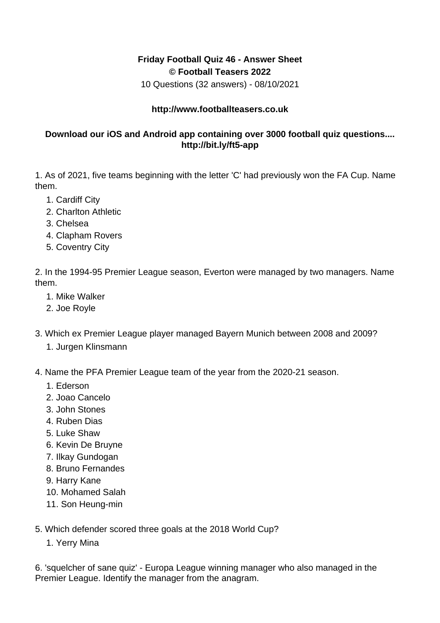## **Friday Football Quiz 46 - Answer Sheet © Football Teasers 2022**

10 Questions (32 answers) - 08/10/2021

## **http://www.footballteasers.co.uk**

## **Download our iOS and Android app containing over 3000 football quiz questions.... http://bit.ly/ft5-app**

1. As of 2021, five teams beginning with the letter 'C' had previously won the FA Cup. Name them.

- 1. Cardiff City
- 2. Charlton Athletic
- 3. Chelsea
- 4. Clapham Rovers
- 5. Coventry City

2. In the 1994-95 Premier League season, Everton were managed by two managers. Name them.

- 1. Mike Walker
- 2. Joe Royle
- 3. Which ex Premier League player managed Bayern Munich between 2008 and 2009?
	- 1. Jurgen Klinsmann
- 4. Name the PFA Premier League team of the year from the 2020-21 season.
	- 1. Ederson
	- 2. Joao Cancelo
	- 3. John Stones
	- 4. Ruben Dias
	- 5. Luke Shaw
	- 6. Kevin De Bruyne
	- 7. Ilkay Gundogan
	- 8. Bruno Fernandes
	- 9. Harry Kane
	- 10. Mohamed Salah
	- 11. Son Heung-min

5. Which defender scored three goals at the 2018 World Cup?

1. Yerry Mina

6. 'squelcher of sane quiz' - Europa League winning manager who also managed in the Premier League. Identify the manager from the anagram.